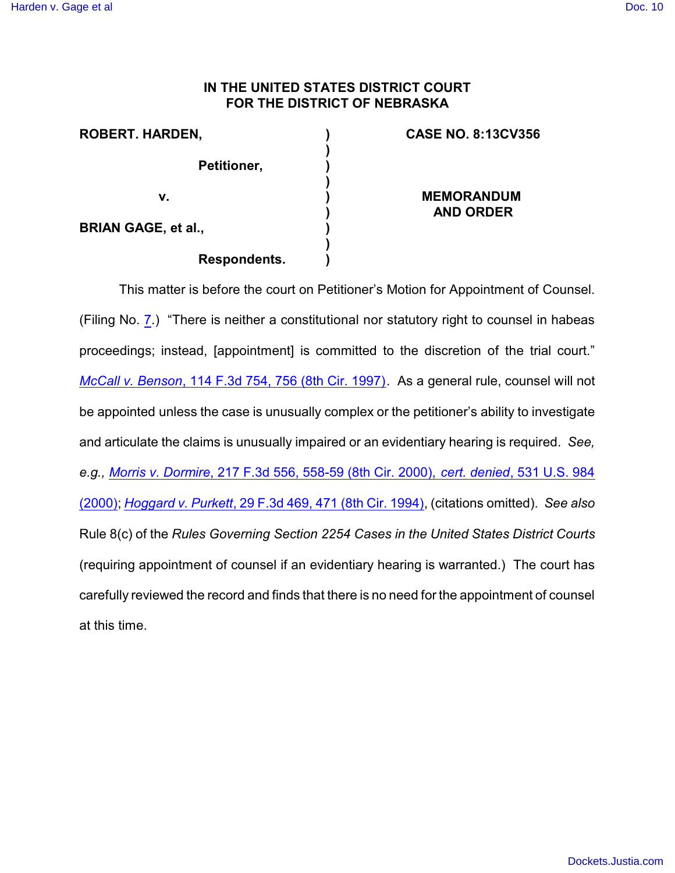## **IN THE UNITED STATES DISTRICT COURT FOR THE DISTRICT OF NEBRASKA**

| ROBERT. HARDEN,            | <b>CASE</b> |
|----------------------------|-------------|
| Petitioner,                |             |
| v.                         | <b>ME</b>   |
| <b>BRIAN GAGE, et al.,</b> |             |
| Respondents.               |             |

## **CASE NO. 8:13CV356**

**MEMORANDUM AND ORDER**

This matter is before the court on Petitioner's Motion for Appointment of Counsel. (Filing No. [7](http://ecf.ned.uscourts.gov/doc1/11313015872).) "There is neither a constitutional nor statutory right to counsel in habeas proceedings; instead, [appointment] is committed to the discretion of the trial court." *McCall v. Benson*[, 114 F.3d 754, 756 \(8th Cir. 1997\)](http://www.westlaw.com/find/default.wl?rs=CLWP3.0&vr=2.0&cite=114+F.3d+754). As a general rule, counsel will not be appointed unless the case is unusually complex or the petitioner's ability to investigate and articulate the claims is unusually impaired or an evidentiary hearing is required. *See, e.g., Morris v. Dormire*[, 217 F.3d 556, 558-59 \(8th Cir. 2000\),](http://www.westlaw.com/find/default.wl?rs=CLWP3.0&vr=2.0&cite=217+F.3d+556) *cert. denied*, 531 U.S. 984 [\(2000\)](http://www.westlaw.com/find/default.wl?rs=CLWP3.0&vr=2.0&cite=217+F.3d+556); *Hoggard v. Purkett*[, 29 F.3d 469, 471 \(8th Cir. 1994\)](http://www.westlaw.com/find/default.wl?rs=CLWP3.0&vr=2.0&cite=29+F.3d+469), (citations omitted). *See also* Rule 8(c) of the *Rules Governing Section 2254 Cases in the United States District Courts* (requiring appointment of counsel if an evidentiary hearing is warranted.) The court has carefully reviewed the record and finds that there is no need for the appointment of counsel at this time.